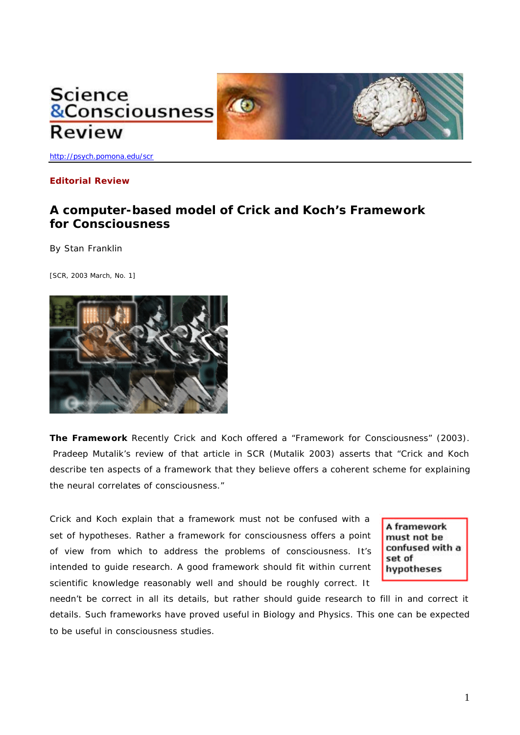

http://psych.pomona.edu/scr

**Editorial Review** 

## **A computer-based model of Crick and Koch's Framework for Consciousness**

*By Stan Franklin*

[SCR, 2003 March, No. 1]



**The Framework** Recently Crick and Koch offered a "Framework for Consciousness" (2003). Pradeep Mutalik's review of that article in SCR (Mutalik 2003) asserts that "Crick and Koch describe ten aspects of a framework that they believe offers a coherent scheme for explaining the neural correlates of consciousness."

Crick and Koch explain that a framework must not be confused with a set of hypotheses. Rather a framework for consciousness offers a point of view from which to address the problems of consciousness. It's intended to guide research. A good framework should fit within current scientific knowledge reasonably well and should be roughly correct. It

A framework must not be confused with a set of hypotheses

needn't be correct in all its details, but rather should guide research to fill in and correct it details. Such frameworks have proved useful in Biology and Physics. This one can be expected to be useful in consciousness studies.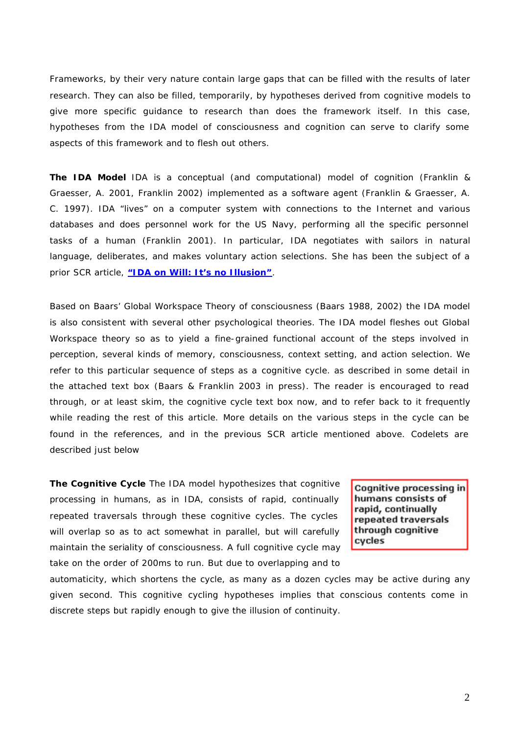Frameworks, by their very nature contain large gaps that can be filled with the results of later research. They can also be filled, temporarily, by hypotheses derived from cognitive models to give more specific guidance to research than does the framework itself. In this case, hypotheses from the IDA model of consciousness and cognition can serve to clarify some aspects of this framework and to flesh out others.

**The IDA Model** IDA is a conceptual (and computational) model of cognition (Franklin & Graesser, A. 2001, Franklin 2002) implemented as a software agent (Franklin & Graesser, A. C. 1997). IDA "lives" on a computer system with connections to the Internet and various databases and does personnel work for the US Navy, performing all the specific personnel tasks of a human (Franklin 2001). In particular, IDA negotiates with sailors in natural language, deliberates, and makes voluntary action selections. She has been the subject of a prior SCR article, **"IDA on Will: It's no Illusion"**.

Based on Baars' Global Workspace Theory of consciousness (Baars 1988, 2002) the IDA model is also consistent with several other psychological theories. The IDA model fleshes out Global Workspace theory so as to yield a fine-grained functional account of the steps involved in perception, several kinds of memory, consciousness, context setting, and action selection. We refer to this particular sequence of steps as a *cognitive cycle.* as described in some detail in the attached text box (Baars & Franklin 2003 in press). The reader is encouraged to read through, or at least skim, the cognitive cycle text box now, and to refer back to it frequently while reading the rest of this article. More details on the various steps in the cycle can be found in the references, and in the previous SCR article mentioned above. Codelets are described just below

**The Cognitive Cycle** The IDA model hypothesizes that cognitive processing in humans, as in IDA, consists of rapid, continually repeated traversals through these cognitive cycles. The cycles will overlap so as to act somewhat in parallel, but will carefully maintain the seriality of consciousness. A full cognitive cycle may take on the order of 200ms to run. But due to overlapping and to

Cognitive processing in humans consists of rapid, continually repeated traversals through cognitive cycles

automaticity, which shortens the cycle, as many as a dozen cycles may be active during any given second. This cognitive cycling hypotheses implies that conscious contents come in discrete steps but rapidly enough to give the illusion of continuity.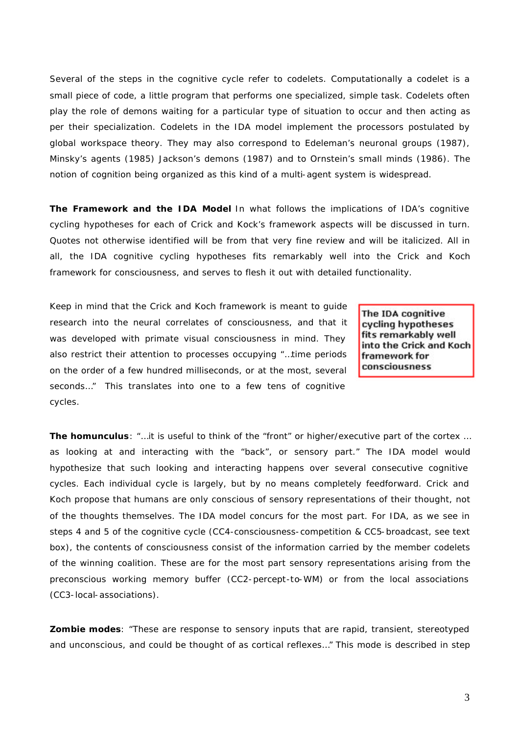Several of the steps in the cognitive cycle refer to codelets. Computationally a codelet is a small piece of code, a little program that performs one specialized, simple task. Codelets often play the role of demons waiting for a particular type of situation to occur and then acting as per their specialization. Codelets in the IDA model implement the processors postulated by global workspace theory. They may also correspond to Edeleman's neuronal groups (1987), Minsky's agents (1985) Jackson's demons (1987) and to Ornstein's small minds (1986). The notion of cognition being organized as this kind of a multi-agent system is widespread.

**The Framework and the IDA Model** In what follows the implications of IDA's cognitive cycling hypotheses for each of Crick and Kock's framework aspects will be discussed in turn. Quotes not otherwise identified will be from that very fine review and will be italicized. All in all, the IDA cognitive cycling hypotheses fits remarkably well into the Crick and Koch framework for consciousness, and serves to flesh it out with detailed functionality.

Keep in mind that the Crick and Koch framework is meant to guide research into the neural correlates of consciousness, and that it was developed with primate visual consciousness in mind. They also restrict their attention to processes occupying "…time periods on the order of a few hundred milliseconds, or at the most, several seconds…" This translates into one to a few tens of cognitive cycles.

The IDA cognitive cycling hypotheses fits remarkably well into the Crick and Koch framework for consciousness

**The homunculus**: *"…it is useful to think of the "front" or higher/executive part of the cortex … as looking at and interacting with the "back", or sensory part."* The IDA model would hypothesize that such looking and interacting happens over several consecutive cognitive cycles. Each individual cycle is largely, but by no means completely feedforward. Crick and Koch propose that humans are only conscious of sensory representations of their thought, not of the thoughts themselves. The IDA model concurs for the most part. For IDA, as we see in steps 4 and 5 of the cognitive cycle (CC4-consciousness-competition & CC5-broadcast, see text box), the contents of consciousness consist of the information carried by the member codelets of the winning coalition. These are for the most part sensory representations arising from the preconscious working memory buffer (CC2-percept-to-WM) or from the local associations (CC3-local-associations).

**Zombie modes**: *"These are response to sensory inputs that are rapid, transient, stereotyped and unconscious, and could be thought of as cortical reflexes…"* This mode is described in step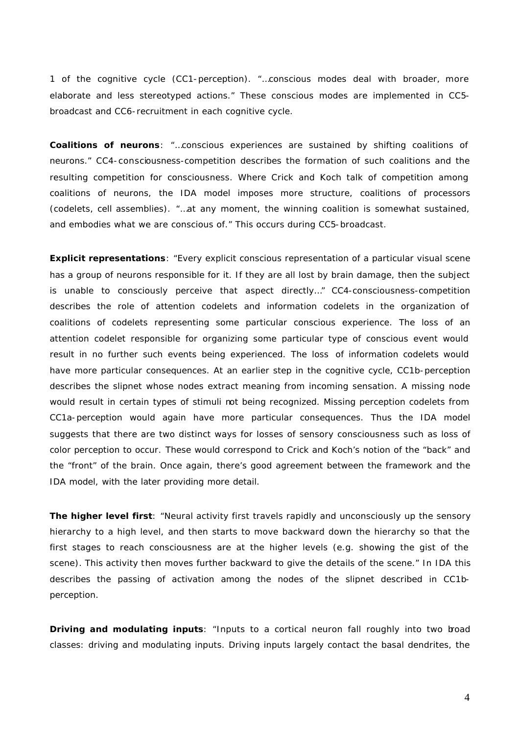1 of the cognitive cycle (CC1-perception). *"…conscious modes deal with broader, more elaborate and less stereotyped actions."* These conscious modes are implemented in CC5 broadcast and CC6-recruitment in each cognitive cycle.

**Coalitions of neurons**: *"…conscious experiences are sustained by shifting coalitions of neurons."* CC4-consciousness-competition describes the formation of such coalitions and the resulting competition for consciousness. Where Crick and Koch talk of competition among coalitions of neurons, the IDA model imposes more structure, coalitions of processors (codelets, cell assemblies). *"…at any moment, the winning coalition is somewhat sustained, and embodies what we are conscious of."* This occurs during CC5-broadcast.

**Explicit representations**: *"Every explicit conscious representation of a particular visual scene*  has a group of neurons responsible for it. If they are all lost by brain damage, then the subject *is unable to consciously perceive that aspect directly…"* CC4-consciousness-competition describes the role of attention codelets and information codelets in the organization of coalitions of codelets representing some particular conscious experience. The loss of an attention codelet responsible for organizing some particular type of conscious event would result in no further such events being experienced. The loss of information codelets would have more particular consequences. At an earlier step in the cognitive cycle, CC1b-perception describes the slipnet whose nodes extract meaning from incoming sensation. A missing node would result in certain types of stimuli not being recognized. Missing perception codelets from CC1a-perception would again have more particular consequences. Thus the IDA model suggests that there are two distinct ways for losses of sensory consciousness such as loss of color perception to occur. These would correspond to Crick and Koch's notion of the "back" and the "front" of the brain. Once again, there's good agreement between the framework and the IDA model, with the later providing more detail.

**The higher level first**: *"Neural activity first travels rapidly and unconsciously up the sensory hierarchy to a high level, and then starts to move backward down the hierarchy so that the*  first stages to reach consciousness are at the higher levels (e.g. showing the gist of the *scene). This activity then moves further backward to give the details of the scene."* In IDA this describes the passing of activation among the nodes of the slipnet described in CC1bperception.

**Driving and modulating inputs**: *"Inputs to a cortical neuron fall roughly into two broad classes: driving and modulating inputs. Driving inputs largely contact the basal dendrites, the*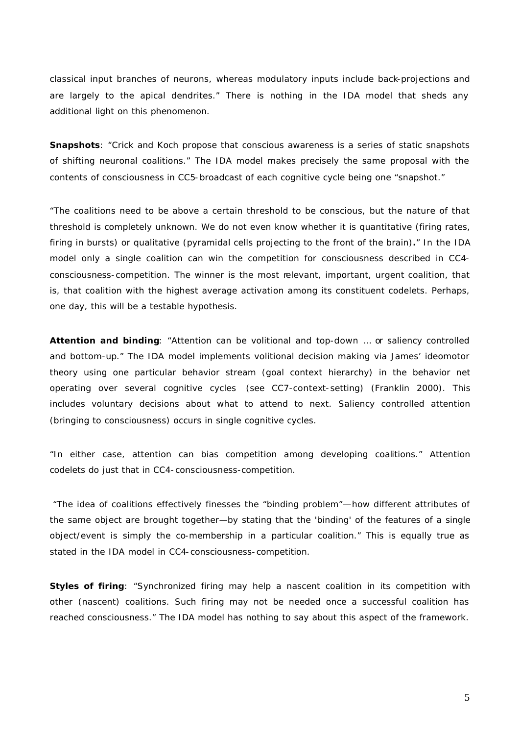*classical input branches of neurons, whereas modulatory inputs include back-projections and are largely to the apical dendrites."* There is nothing in the IDA model that sheds any additional light on this phenomenon.

**Snapshots**: *"Crick and Koch propose that conscious awareness is a series of static snapshots of shifting neuronal coalitions."* The IDA model makes precisely the same proposal with the contents of consciousness in CC5-broadcast of each cognitive cycle being one "snapshot."

*"The coalitions need to be above a certain threshold to be conscious, but the nature of that threshold is completely unknown. We do not even know whether it is quantitative (firing rates, firing in bursts) or qualitative (pyramidal cells projecting to the front of the brain)."* In the IDA model only a single coalition can win the competition for consciousness described in CC4 consciousness-competition. The winner is the most relevant, important, urgent coalition, that is, that coalition with the highest average activation among its constituent codelets. Perhaps, one day, this will be a testable hypothesis.

**Attention and binding**: *"Attention can be volitional and top-down … or saliency controlled and bottom-up."* The IDA model implements volitional decision making via James' ideomotor theory using one particular behavior stream (goal context hierarchy) in the behavior net operating over several cognitive cycles (see CC7-context-setting) (Franklin 2000). This includes voluntary decisions about what to attend to next. Saliency controlled attention (bringing to consciousness) occurs in single cognitive cycles.

*"In either case, attention can bias competition among developing coalitions."* Attention codelets do just that in CC4-consciousness-competition.

*"The idea of coalitions effectively finesses the "binding problem"—how different attributes of the same object are brought together—by stating that the 'binding' of the features of a single object/event is simply the co-membership in a particular coalition."* This is equally true as stated in the IDA model in CC4-consciousness-competition.

**Styles of firing**: "Synchronized firing may help a nascent coalition in its competition with other (nascent) coalitions. Such firing may not be needed once a successful coalition has reached consciousness." The IDA model has nothing to say about this aspect of the framework.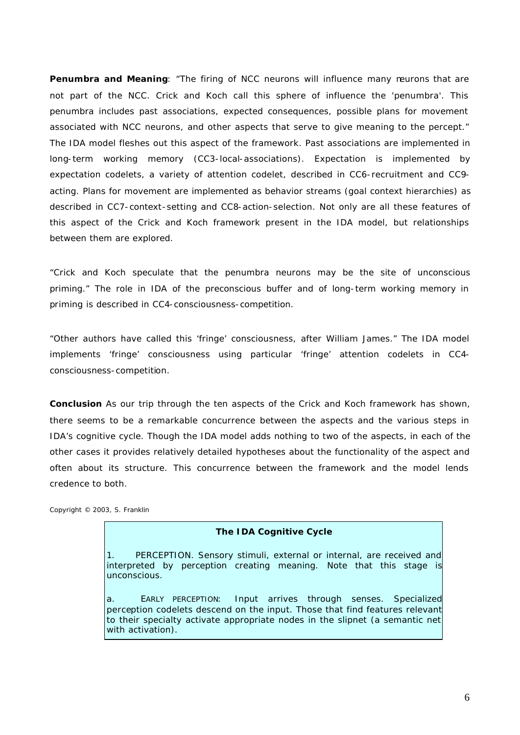**Penumbra and Meaning**: *"The firing of NCC neurons will influence many neurons that are not part of the NCC. Crick and Koch call this sphere of influence the 'penumbra'. This penumbra includes past associations, expected consequences, possible plans for movement associated with NCC neurons, and other aspects that serve to give meaning to the percept."*  The IDA model fleshes out this aspect of the framework. Past associations are implemented in long-term working memory (CC3-local-associations). Expectation is implemented by expectation codelets, a variety of attention codelet, described in CC6-recruitment and CC9 acting. Plans for movement are implemented as behavior streams (goal context hierarchies) as described in CC7-context-setting and CC8-action-selection. Not only are all these features of this aspect of the Crick and Koch framework present in the IDA model, but relationships between them are explored.

*"Crick and Koch speculate that the penumbra neurons may be the site of unconscious priming."* The role in IDA of the preconscious buffer and of long-term working memory in priming is described in CC4-consciousness-competition.

*"Other authors have called this 'fringe' consciousness, after William James."* The IDA model implements 'fringe' consciousness using particular 'fringe' attention codelets in CC4 consciousness-competition.

**Conclusion** As our trip through the ten aspects of the Crick and Koch framework has shown, there seems to be a remarkable concurrence between the aspects and the various steps in IDA's cognitive cycle. Though the IDA model adds nothing to two of the aspects, in each of the other cases it provides relatively detailed hypotheses about the functionality of the aspect and often about its structure. This concurrence between the framework and the model lends credence to both.

Copyright © 2003, S. Franklin

## **The IDA Cognitive Cycle**

1. PERCEPTION. Sensory stimuli, external or internal, are received and interpreted by perception creating meaning. Note that this stage is unconscious.

a. EARLY PERCEPTION: Input arrives through senses. Specialized perception codelets descend on the input. Those that find features relevant to their specialty activate appropriate nodes in the slipnet (a semantic net with activation).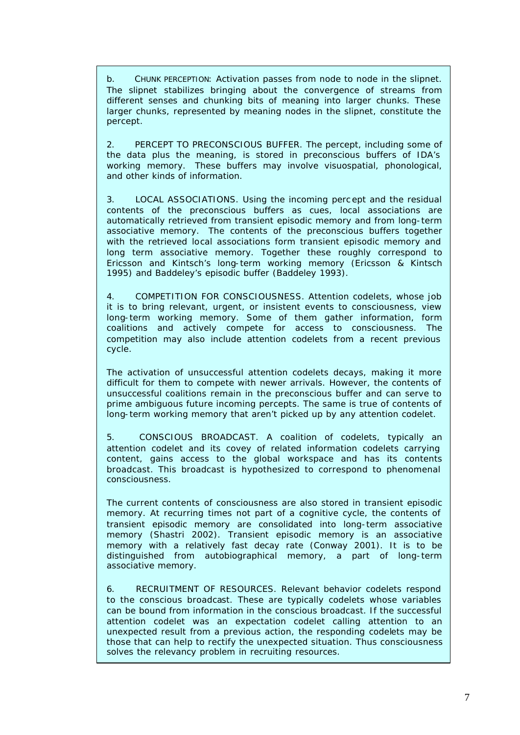b. CHUNK PERCEPTION: Activation passes from node to node in the slipnet. The slipnet stabilizes bringing about the convergence of streams from different senses and chunking bits of meaning into larger chunks. These larger chunks, represented by meaning nodes in the slipnet, constitute the percept.

2. PERCEPT TO PRECONSCIOUS BUFFER. The percept, including some of the data plus the meaning, is stored in preconscious buffers of IDA's working memory. These buffers may involve visuospatial, phonological, and other kinds of information.

3. LOCAL ASSOCIATIONS. Using the incoming perc ept and the residual contents of the preconscious buffers as cues, local associations are automatically retrieved from transient episodic memory and from long-term associative memory. The contents of the preconscious buffers together with the retrieved local associations form transient episodic memory and long term associative memory. Together these roughly correspond to Ericsson and Kintsch's long-term working memory (Ericsson & Kintsch 1995) and Baddeley's episodic buffer (Baddeley 1993).

4. COMPETITION FOR CONSCIOUSNESS. Attention codelets, whose job it is to bring relevant, urgent, or insistent events to consciousness, view long-term working memory. Some of them gather information, form coalitions and actively compete for access to consciousness. The competition may also include attention codelets from a recent previous cycle.

The activation of unsuccessful attention codelets decays, making it more difficult for them to compete with newer arrivals. However, the contents of unsuccessful coalitions remain in the preconscious buffer and can serve to prime ambiguous future incoming percepts. The same is true of contents of long-term working memory that aren't picked up by any attention codelet.

5. CONSCIOUS BROADCAST. A coalition of codelets, typically an attention codelet and its covey of related information codelets carrying content, gains access to the global workspace and has its contents broadcast. This broadcast is hypothesized to correspond to phenomenal consciousness.

The current contents of consciousness are also stored in transient episodic memory. At recurring times not part of a cognitive cycle, the contents of transient episodic memory are consolidated into long-term associative memory (Shastri 2002). Transient episodic memory is an associative memory with a relatively fast decay rate (Conway 2001). It is to be distinguished from autobiographical memory, a part of long-term associative memory.

6. RECRUITMENT OF RESOURCES. Relevant behavior codelets respond to the conscious broadcast. These are typically codelets whose variables can be bound from information in the conscious broadcast. If the successful attention codelet was an expectation codelet calling attention to an unexpected result from a previous action, the responding codelets may be those that can help to rectify the unexpected situation. Thus consciousness solves the relevancy problem in recruiting resources.